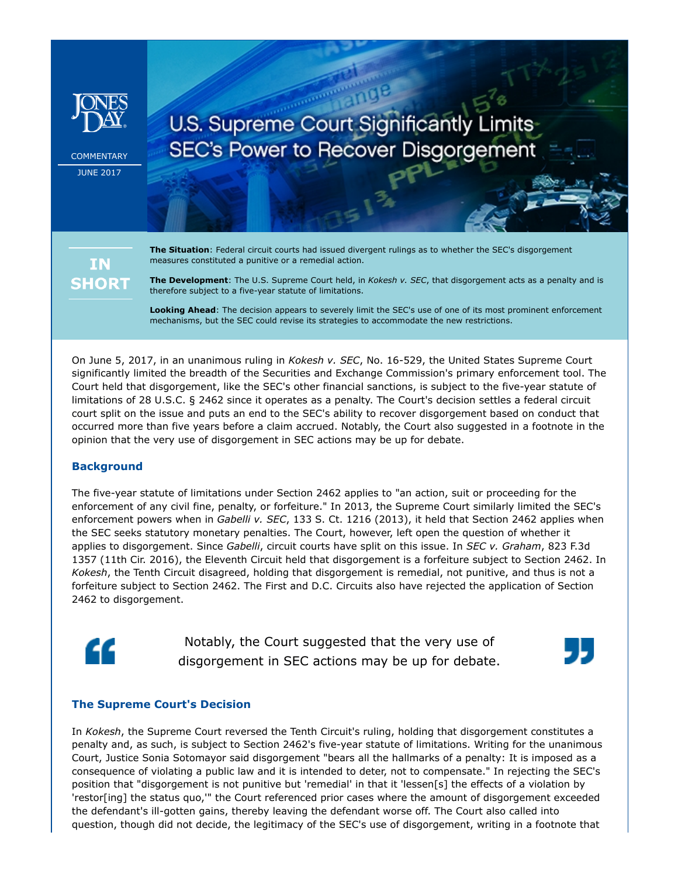

COMMENTARY JUNE 2017

# U.S. Supreme Court Significantly Limits **SEC's Power to Recover Disgorgement**

**IN SHORT**  **The Situation**: Federal circuit courts had issued divergent rulings as to whether the SEC's disgorgement measures constituted a punitive or a remedial action.

**The Development**: The U.S. Supreme Court held, in *Kokesh v. SEC*, that disgorgement acts as a penalty and is therefore subject to a five-year statute of limitations.

**Looking Ahead**: The decision appears to severely limit the SEC's use of one of its most prominent enforcement mechanisms, but the SEC could revise its strategies to accommodate the new restrictions.

On June 5, 2017, in an unanimous ruling in *Kokesh v. SEC*, No. 16-529, the United States Supreme Court significantly limited the breadth of the Securities and Exchange Commission's primary enforcement tool. The Court held that disgorgement, like the SEC's other financial sanctions, is subject to the five-year statute of limitations of 28 U.S.C. § 2462 since it operates as a penalty. The Court's decision settles a federal circuit court split on the issue and puts an end to the SEC's ability to recover disgorgement based on conduct that occurred more than five years before a claim accrued. Notably, the Court also suggested in a footnote in the opinion that the very use of disgorgement in SEC actions may be up for debate.

## **Background**

The five-year statute of limitations under Section 2462 applies to "an action, suit or proceeding for the enforcement of any civil fine, penalty, or forfeiture." In 2013, the Supreme Court similarly limited the SEC's enforcement powers when in *Gabelli v. SEC*, 133 S. Ct. 1216 (2013), it held that Section 2462 applies when the SEC seeks statutory monetary penalties. The Court, however, left open the question of whether it applies to disgorgement. Since *Gabelli*, circuit courts have split on this issue. In *SEC v. Graham*, 823 F.3d 1357 (11th Cir. 2016), the Eleventh Circuit held that disgorgement is a forfeiture subject to Section 2462. In *Kokesh*, the Tenth Circuit disagreed, holding that disgorgement is remedial, not punitive, and thus is not a forfeiture subject to Section 2462. The First and D.C. Circuits also have rejected the application of Section 2462 to disgorgement.



Notably, the Court suggested that the very use of disgorgement in SEC actions may be up for debate.



#### **The Supreme Court's Decision**

In *Kokesh*, the Supreme Court reversed the Tenth Circuit's ruling, holding that disgorgement constitutes a penalty and, as such, is subject to Section 2462's five-year statute of limitations. Writing for the unanimous Court, Justice Sonia Sotomayor said disgorgement "bears all the hallmarks of a penalty: It is imposed as a consequence of violating a public law and it is intended to deter, not to compensate." In rejecting the SEC's position that "disgorgement is not punitive but 'remedial' in that it 'lessen[s] the effects of a violation by 'restor[ing] the status quo,'" the Court referenced prior cases where the amount of disgorgement exceeded the defendant's ill-gotten gains, thereby leaving the defendant worse off. The Court also called into question, though did not decide, the legitimacy of the SEC's use of disgorgement, writing in a footnote that